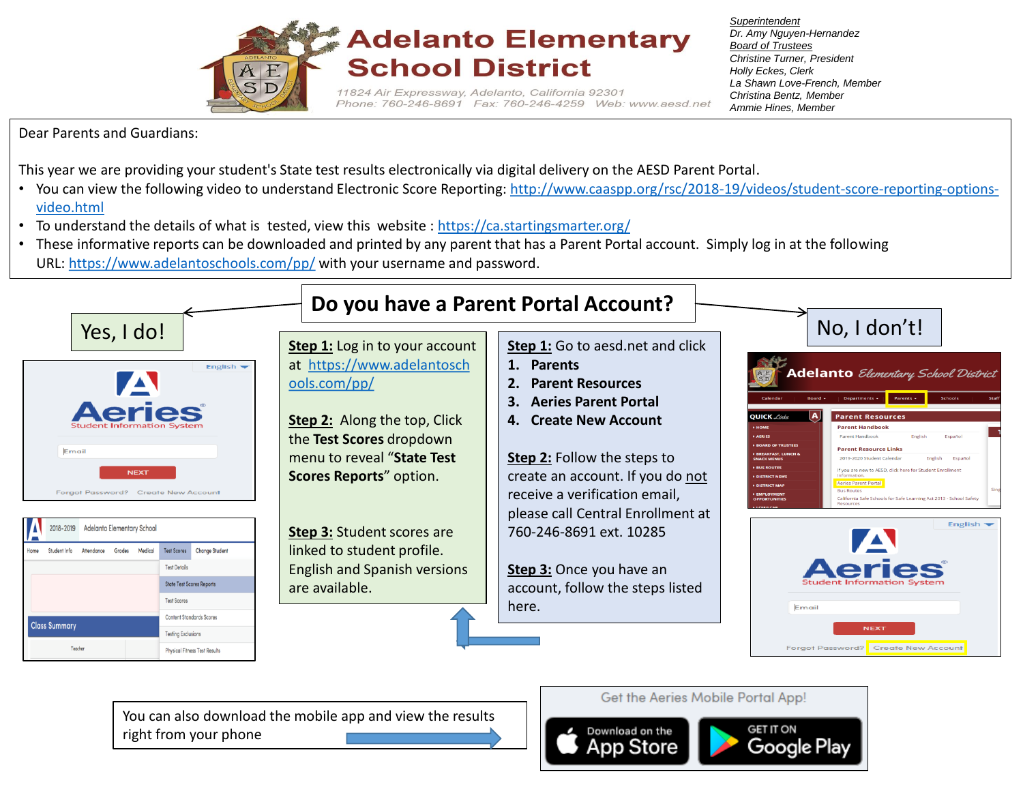

*Superintendent Dr. Amy Nguyen-Hernandez Board of Trustees Christine Turner, President Holly Eckes, Clerk La Shawn Love-French, Member Christina Bentz, Member Ammie Hines, Member* 

Dear Parents and Guardians:

This year we are providing your student's State test results electronically via digital delivery on the AESD Parent Portal.

- You can view the following video to understand Electronic Score Reporting: [http://www.caaspp.org/rsc/2018-19/videos/student-score-reporting-options](http://www.caaspp.org/rsc/2018-19/videos/student-score-reporting-options-video.html)[video.html](http://www.caaspp.org/rsc/2018-19/videos/student-score-reporting-options-video.html)
- To understand the details of what is tested, view this website : <https://ca.startingsmarter.org/>
- These informative reports can be downloaded and printed by any parent that has a Parent Portal account. Simply log in at the following URL: <https://www.adelantoschools.com/pp/> with your username and password.



You can also download the mobile app and view the results right from your phone

Get the Aeries Mobile Portal App!